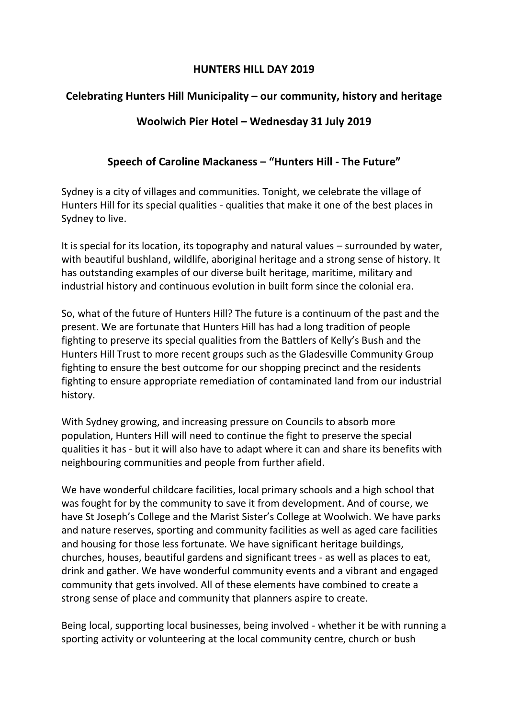### **HUNTERS HILL DAY 2019**

# **Celebrating Hunters Hill Municipality – our community, history and heritage**

## **Woolwich Pier Hotel – Wednesday 31 July 2019**

## **Speech of Caroline Mackaness – "Hunters Hill - The Future"**

Sydney is a city of villages and communities. Tonight, we celebrate the village of Hunters Hill for its special qualities - qualities that make it one of the best places in Sydney to live.

It is special for its location, its topography and natural values – surrounded by water, with beautiful bushland, wildlife, aboriginal heritage and a strong sense of history. It has outstanding examples of our diverse built heritage, maritime, military and industrial history and continuous evolution in built form since the colonial era.

So, what of the future of Hunters Hill? The future is a continuum of the past and the present. We are fortunate that Hunters Hill has had a long tradition of people fighting to preserve its special qualities from the Battlers of Kelly's Bush and the Hunters Hill Trust to more recent groups such as the Gladesville Community Group fighting to ensure the best outcome for our shopping precinct and the residents fighting to ensure appropriate remediation of contaminated land from our industrial history.

With Sydney growing, and increasing pressure on Councils to absorb more population, Hunters Hill will need to continue the fight to preserve the special qualities it has - but it will also have to adapt where it can and share its benefits with neighbouring communities and people from further afield.

We have wonderful childcare facilities, local primary schools and a high school that was fought for by the community to save it from development. And of course, we have St Joseph's College and the Marist Sister's College at Woolwich. We have parks and nature reserves, sporting and community facilities as well as aged care facilities and housing for those less fortunate. We have significant heritage buildings, churches, houses, beautiful gardens and significant trees - as well as places to eat, drink and gather. We have wonderful community events and a vibrant and engaged community that gets involved. All of these elements have combined to create a strong sense of place and community that planners aspire to create.

Being local, supporting local businesses, being involved - whether it be with running a sporting activity or volunteering at the local community centre, church or bush